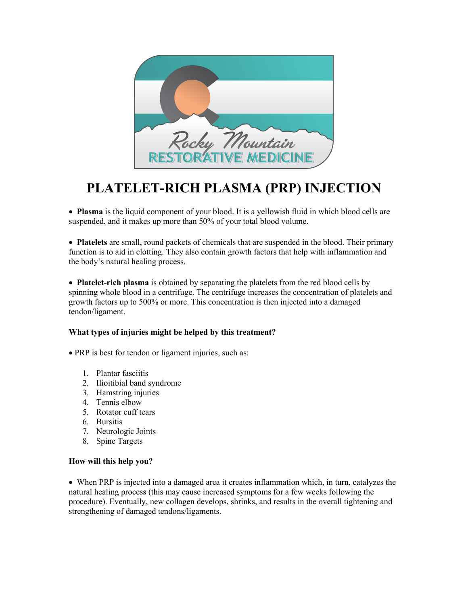

# **PLATELET-RICH PLASMA (PRP) INJECTION**

• **Plasma** is the liquid component of your blood. It is a yellowish fluid in which blood cells are suspended, and it makes up more than 50% of your total blood volume.

• **Platelets** are small, round packets of chemicals that are suspended in the blood. Their primary function is to aid in clotting. They also contain growth factors that help with inflammation and the body's natural healing process.

• **Platelet-rich plasma** is obtained by separating the platelets from the red blood cells by spinning whole blood in a centrifuge. The centrifuge increases the concentration of platelets and growth factors up to 500% or more. This concentration is then injected into a damaged tendon/ligament.

#### **What types of injuries might be helped by this treatment?**

• PRP is best for tendon or ligament injuries, such as:

- 1. Plantar fasciitis
- 2. Ilioitibial band syndrome
- 3. Hamstring injuries
- 4. Tennis elbow
- 5. Rotator cuff tears
- 6. Bursitis
- 7. Neurologic Joints
- 8. Spine Targets

#### **How will this help you?**

• When PRP is injected into a damaged area it creates inflammation which, in turn, catalyzes the natural healing process (this may cause increased symptoms for a few weeks following the procedure). Eventually, new collagen develops, shrinks, and results in the overall tightening and strengthening of damaged tendons/ligaments.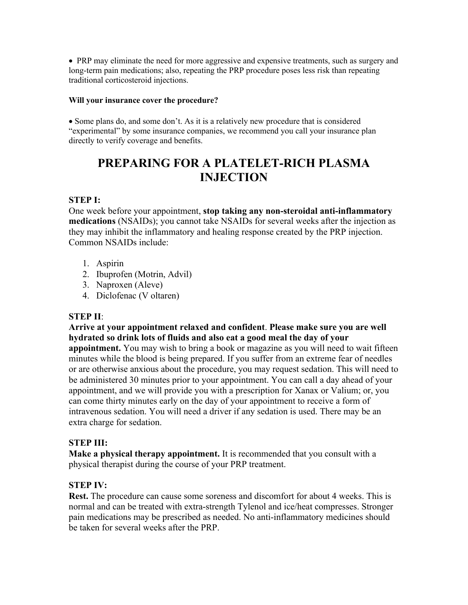• PRP may eliminate the need for more aggressive and expensive treatments, such as surgery and long-term pain medications; also, repeating the PRP procedure poses less risk than repeating traditional corticosteroid injections.

#### **Will your insurance cover the procedure?**

• Some plans do, and some don't. As it is a relatively new procedure that is considered "experimental" by some insurance companies, we recommend you call your insurance plan directly to verify coverage and benefits.

## **PREPARING FOR A PLATELET-RICH PLASMA INJECTION**

#### **STEP I:**

One week before your appointment, **stop taking any non-steroidal anti-inflammatory medications** (NSAIDs); you cannot take NSAIDs for several weeks after the injection as they may inhibit the inflammatory and healing response created by the PRP injection. Common NSAIDs include:

- 1. Aspirin
- 2. Ibuprofen (Motrin, Advil)
- 3. Naproxen (Aleve)
- 4. Diclofenac (V oltaren)

## **STEP II**:

## **Arrive at your appointment relaxed and confident**. **Please make sure you are well hydrated so drink lots of fluids and also eat a good meal the day of your**

**appointment.** You may wish to bring a book or magazine as you will need to wait fifteen minutes while the blood is being prepared. If you suffer from an extreme fear of needles or are otherwise anxious about the procedure, you may request sedation. This will need to be administered 30 minutes prior to your appointment. You can call a day ahead of your appointment, and we will provide you with a prescription for Xanax or Valium; or, you can come thirty minutes early on the day of your appointment to receive a form of intravenous sedation. You will need a driver if any sedation is used. There may be an extra charge for sedation.

## **STEP III:**

**Make a physical therapy appointment.** It is recommended that you consult with a physical therapist during the course of your PRP treatment.

## **STEP IV:**

**Rest.** The procedure can cause some soreness and discomfort for about 4 weeks. This is normal and can be treated with extra-strength Tylenol and ice/heat compresses. Stronger pain medications may be prescribed as needed. No anti-inflammatory medicines should be taken for several weeks after the PRP.